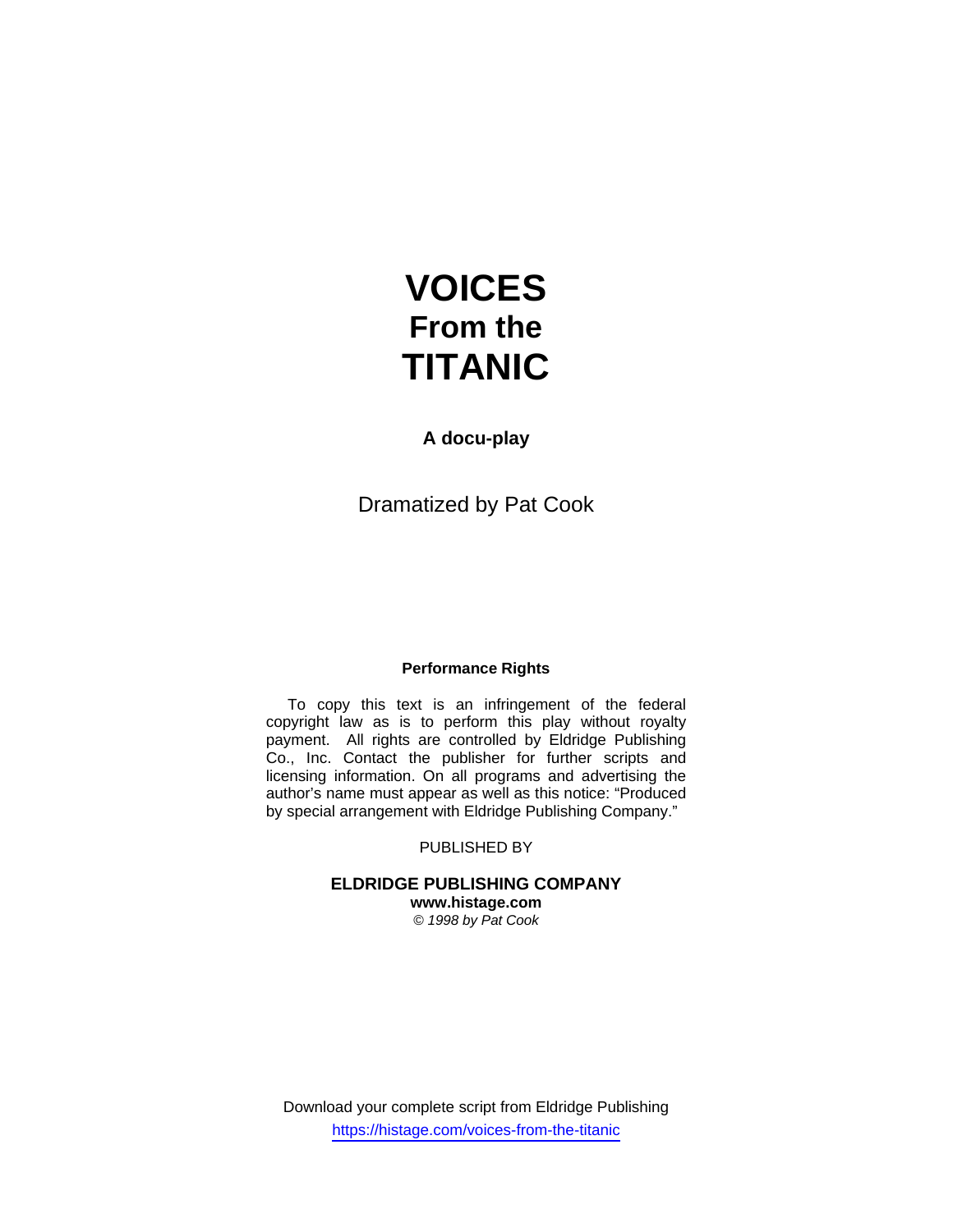# **VOICES From the TITANIC**

# **A docu-play**

Dramatized by Pat Cook

### **Performance Rights**

 To copy this text is an infringement of the federal copyright law as is to perform this play without royalty payment. All rights are controlled by Eldridge Publishing Co., Inc. Contact the publisher for further scripts and licensing information. On all programs and advertising the author's name must appear as well as this notice: "Produced by special arrangement with Eldridge Publishing Company."

PUBLISHED BY

#### **ELDRIDGE PUBLISHING COMPANY www.histage.com**

*© 1998 by Pat Cook* 

Download your complete script from Eldridge Publishing https://histage.com/voices-from-the-titanic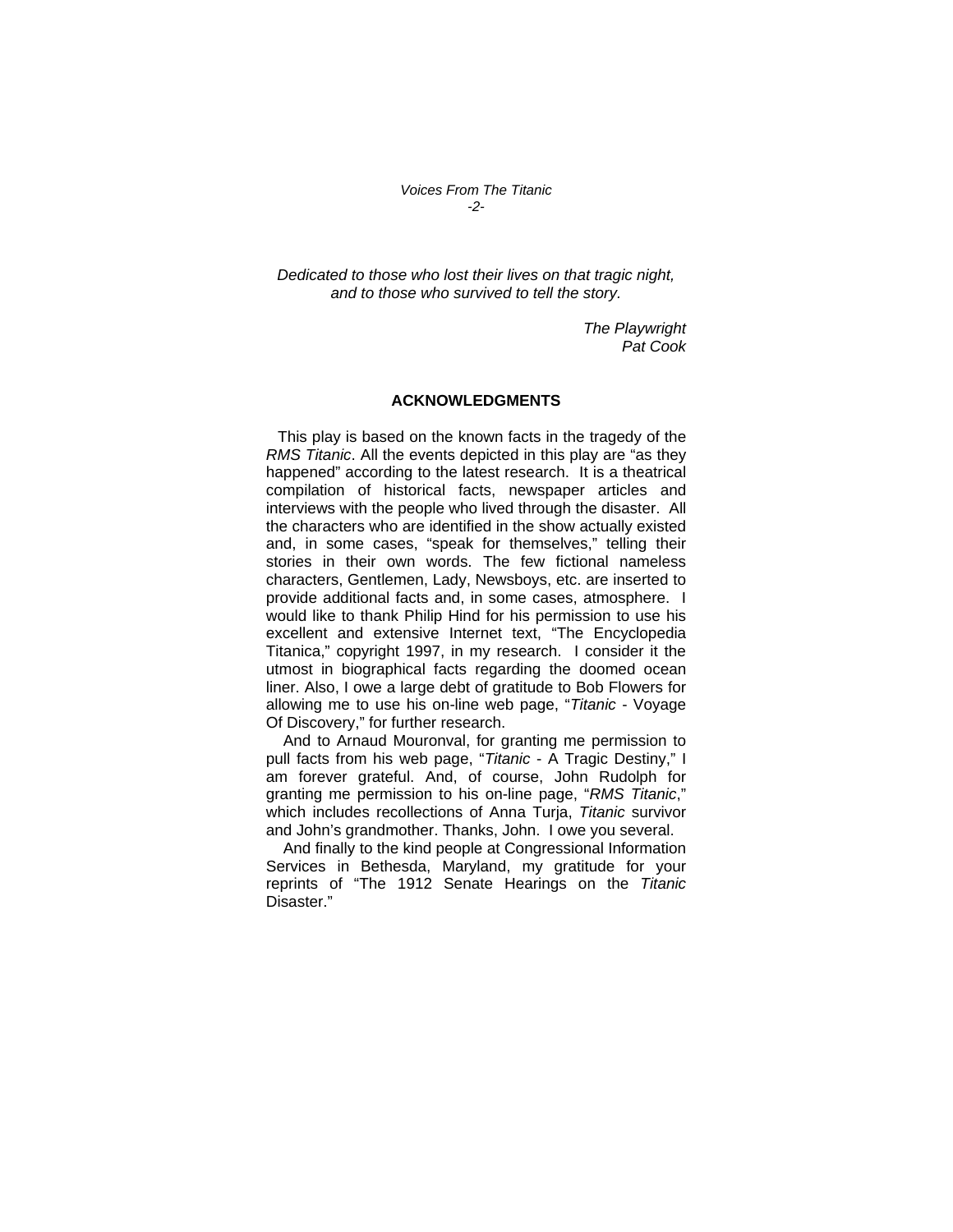*Voices From The Titanic -2-* 

*Dedicated to those who lost their lives on that tragic night, and to those who survived to tell the story.* 

> *The Playwright Pat Cook*

#### **ACKNOWLEDGMENTS**

 This play is based on the known facts in the tragedy of the *RMS Titanic*. All the events depicted in this play are "as they happened" according to the latest research. It is a theatrical compilation of historical facts, newspaper articles and interviews with the people who lived through the disaster. All the characters who are identified in the show actually existed and, in some cases, "speak for themselves," telling their stories in their own words. The few fictional nameless characters, Gentlemen, Lady, Newsboys, etc. are inserted to provide additional facts and, in some cases, atmosphere. I would like to thank Philip Hind for his permission to use his excellent and extensive Internet text, "The Encyclopedia Titanica," copyright 1997, in my research. I consider it the utmost in biographical facts regarding the doomed ocean liner. Also, I owe a large debt of gratitude to Bob Flowers for allowing me to use his on-line web page, "*Titanic* - Voyage Of Discovery," for further research.

 And to Arnaud Mouronval, for granting me permission to pull facts from his web page, "*Titanic* - A Tragic Destiny," I am forever grateful. And, of course, John Rudolph for granting me permission to his on-line page, "*RMS Titanic*," which includes recollections of Anna Turja, *Titanic* survivor and John's grandmother. Thanks, John. I owe you several.

 And finally to the kind people at Congressional Information Services in Bethesda, Maryland, my gratitude for your reprints of "The 1912 Senate Hearings on the *Titanic* Disaster."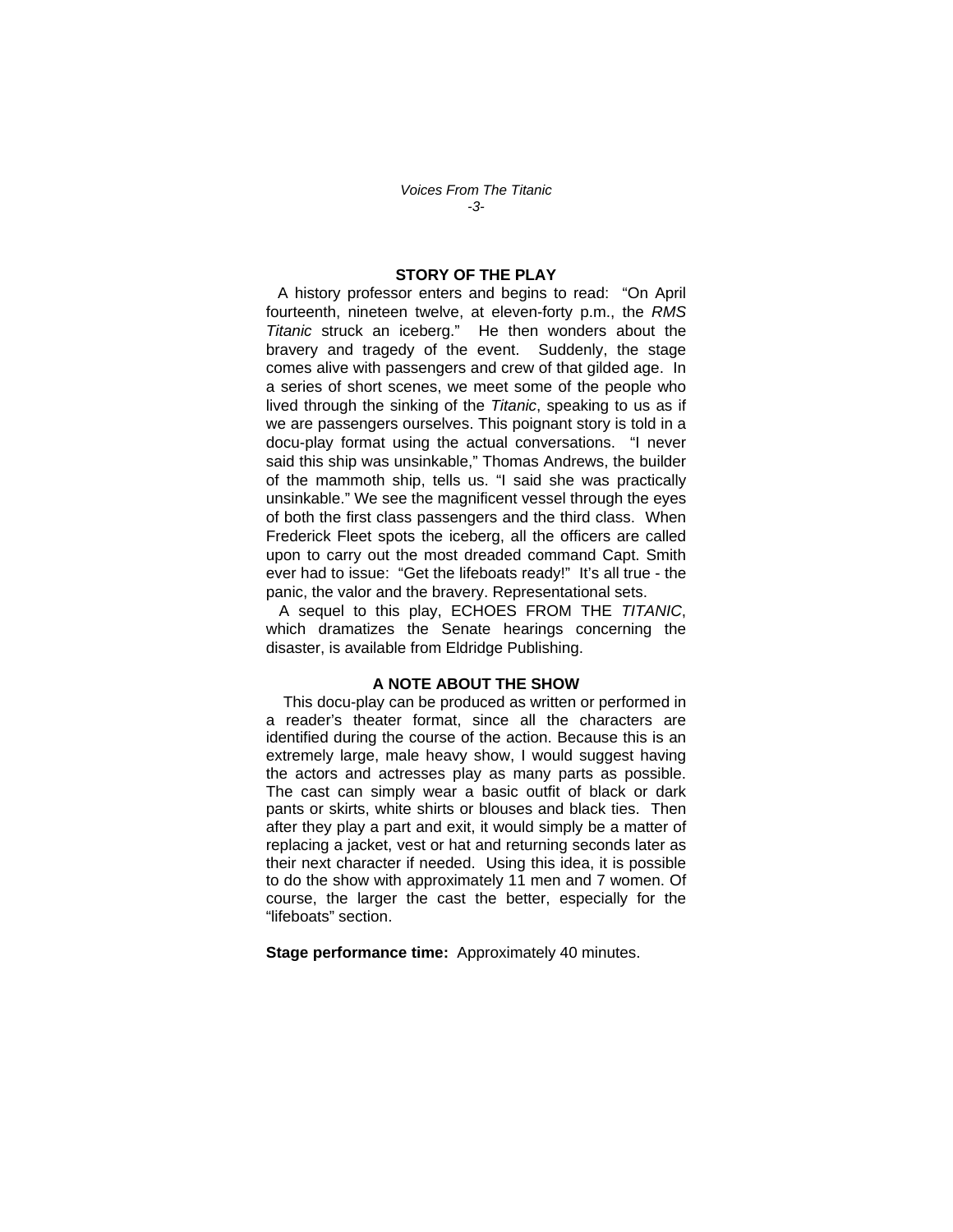*Voices From The Titanic -3-* 

#### **STORY OF THE PLAY**

 A history professor enters and begins to read: "On April fourteenth, nineteen twelve, at eleven-forty p.m., the *RMS Titanic* struck an iceberg." He then wonders about the bravery and tragedy of the event. Suddenly, the stage comes alive with passengers and crew of that gilded age. In a series of short scenes, we meet some of the people who lived through the sinking of the *Titanic*, speaking to us as if we are passengers ourselves. This poignant story is told in a docu-play format using the actual conversations. "I never said this ship was unsinkable," Thomas Andrews, the builder of the mammoth ship, tells us. "I said she was practically unsinkable." We see the magnificent vessel through the eyes of both the first class passengers and the third class. When Frederick Fleet spots the iceberg, all the officers are called upon to carry out the most dreaded command Capt. Smith ever had to issue: "Get the lifeboats ready!" It's all true - the panic, the valor and the bravery. Representational sets.

 A sequel to this play, ECHOES FROM THE *TITANIC*, which dramatizes the Senate hearings concerning the disaster, is available from Eldridge Publishing.

#### **A NOTE ABOUT THE SHOW**

 This docu-play can be produced as written or performed in a reader's theater format, since all the characters are identified during the course of the action. Because this is an extremely large, male heavy show, I would suggest having the actors and actresses play as many parts as possible. The cast can simply wear a basic outfit of black or dark pants or skirts, white shirts or blouses and black ties. Then after they play a part and exit, it would simply be a matter of replacing a jacket, vest or hat and returning seconds later as their next character if needed. Using this idea, it is possible to do the show with approximately 11 men and 7 women. Of course, the larger the cast the better, especially for the "lifeboats" section.

**Stage performance time:** Approximately 40 minutes.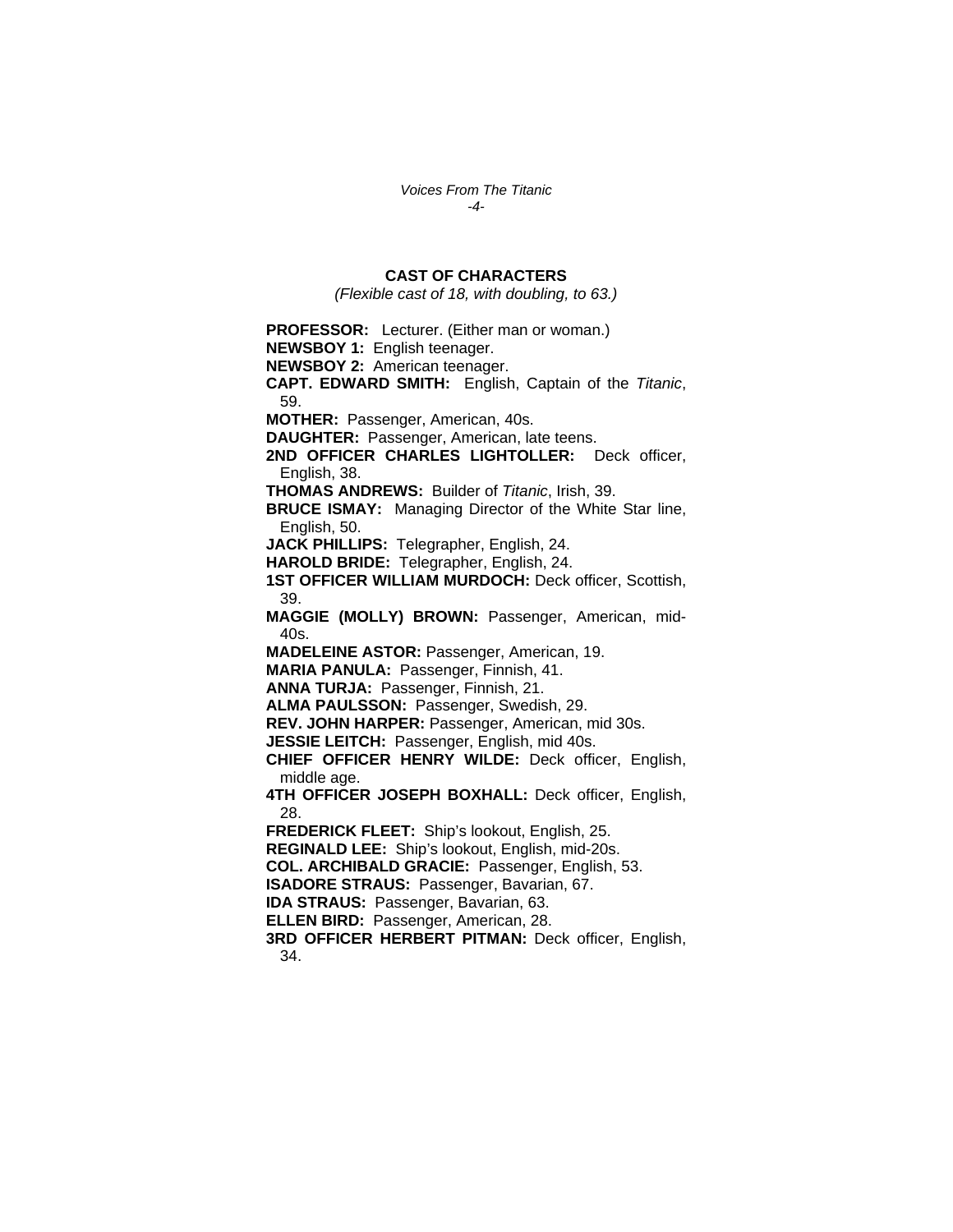*Voices From The Titanic -4-* 

#### **CAST OF CHARACTERS**

*(Flexible cast of 18, with doubling, to 63.)* 

**PROFESSOR:** Lecturer. (Either man or woman.) **NEWSBOY 1:** English teenager. **NEWSBOY 2:** American teenager. **CAPT. EDWARD SMITH:** English, Captain of the *Titanic*, 59. **MOTHER:** Passenger, American, 40s. **DAUGHTER:** Passenger, American, late teens. **2ND OFFICER CHARLES LIGHTOLLER:** Deck officer, English, 38. **THOMAS ANDREWS:** Builder of *Titanic*, Irish, 39. **BRUCE ISMAY:** Managing Director of the White Star line, English, 50. **JACK PHILLIPS:** Telegrapher, English, 24. **HAROLD BRIDE:** Telegrapher, English, 24. **1ST OFFICER WILLIAM MURDOCH:** Deck officer, Scottish, 39. **MAGGIE (MOLLY) BROWN:** Passenger, American, mid-40s. **MADELEINE ASTOR:** Passenger, American, 19. **MARIA PANULA:** Passenger, Finnish, 41. **ANNA TURJA:** Passenger, Finnish, 21. **ALMA PAULSSON:** Passenger, Swedish, 29. **REV. JOHN HARPER:** Passenger, American, mid 30s. **JESSIE LEITCH:** Passenger, English, mid 40s. **CHIEF OFFICER HENRY WILDE:** Deck officer, English, middle age. **4TH OFFICER JOSEPH BOXHALL:** Deck officer, English, 28. **FREDERICK FLEET:** Ship's lookout, English, 25. **REGINALD LEE:** Ship's lookout, English, mid-20s. **COL. ARCHIBALD GRACIE:** Passenger, English, 53. **ISADORE STRAUS:** Passenger, Bavarian, 67. **IDA STRAUS:** Passenger, Bavarian, 63. **ELLEN BIRD:** Passenger, American, 28. **3RD OFFICER HERBERT PITMAN:** Deck officer, English, 34.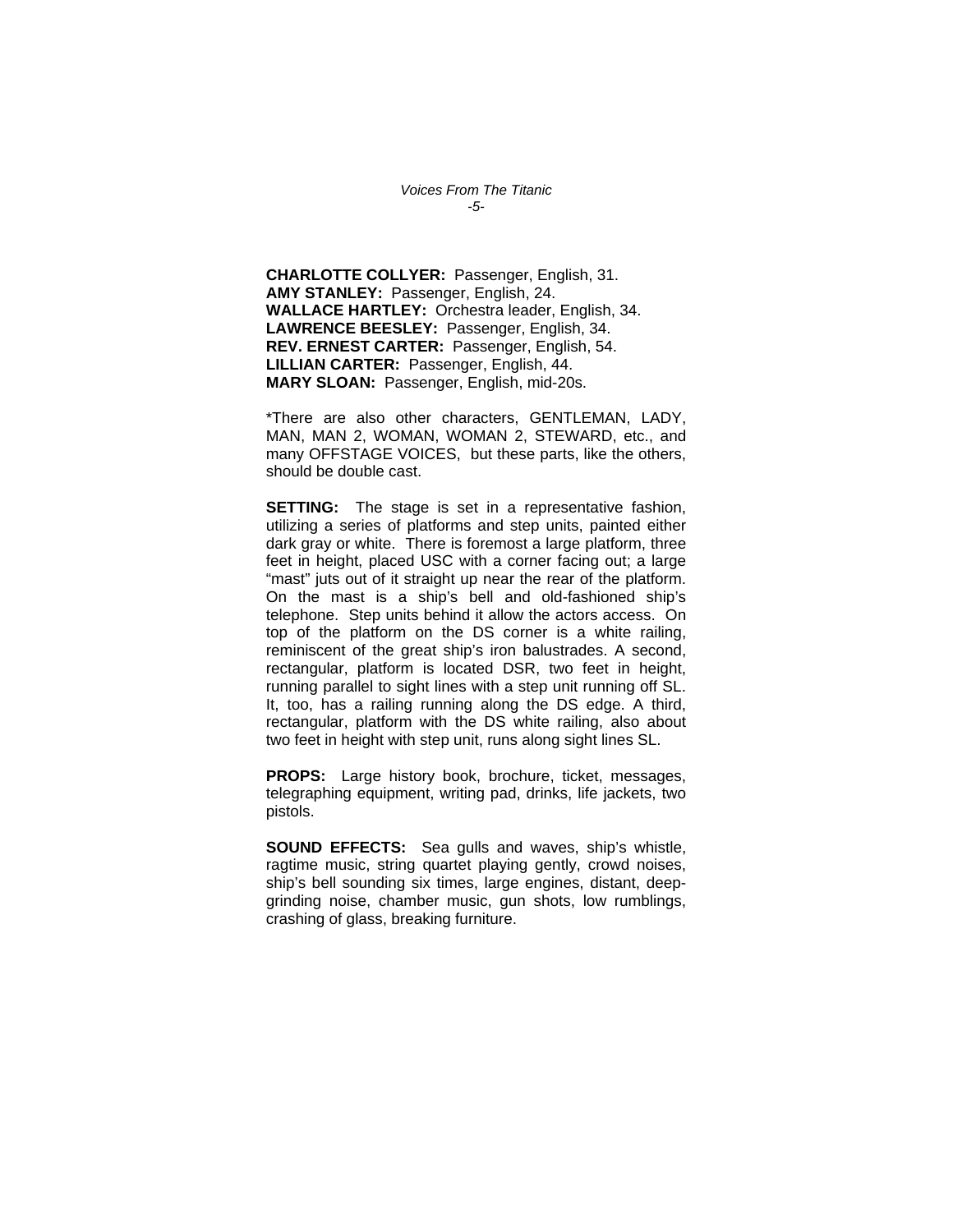*Voices From The Titanic -5-* 

**CHARLOTTE COLLYER:** Passenger, English, 31. **AMY STANLEY:** Passenger, English, 24. **WALLACE HARTLEY:** Orchestra leader, English, 34. **LAWRENCE BEESLEY:** Passenger, English, 34. **REV. ERNEST CARTER:** Passenger, English, 54. **LILLIAN CARTER:** Passenger, English, 44. **MARY SLOAN:** Passenger, English, mid-20s.

\*There are also other characters, GENTLEMAN, LADY, MAN, MAN 2, WOMAN, WOMAN 2, STEWARD, etc., and many OFFSTAGE VOICES, but these parts, like the others, should be double cast.

**SETTING:** The stage is set in a representative fashion, utilizing a series of platforms and step units, painted either dark gray or white. There is foremost a large platform, three feet in height, placed USC with a corner facing out; a large "mast" juts out of it straight up near the rear of the platform. On the mast is a ship's bell and old-fashioned ship's telephone. Step units behind it allow the actors access. On top of the platform on the DS corner is a white railing, reminiscent of the great ship's iron balustrades. A second, rectangular, platform is located DSR, two feet in height, running parallel to sight lines with a step unit running off SL. It, too, has a railing running along the DS edge. A third, rectangular, platform with the DS white railing, also about two feet in height with step unit, runs along sight lines SL.

**PROPS:** Large history book, brochure, ticket, messages, telegraphing equipment, writing pad, drinks, life jackets, two pistols.

**SOUND EFFECTS:** Sea gulls and waves, ship's whistle, ragtime music, string quartet playing gently, crowd noises, ship's bell sounding six times, large engines, distant, deepgrinding noise, chamber music, gun shots, low rumblings, crashing of glass, breaking furniture.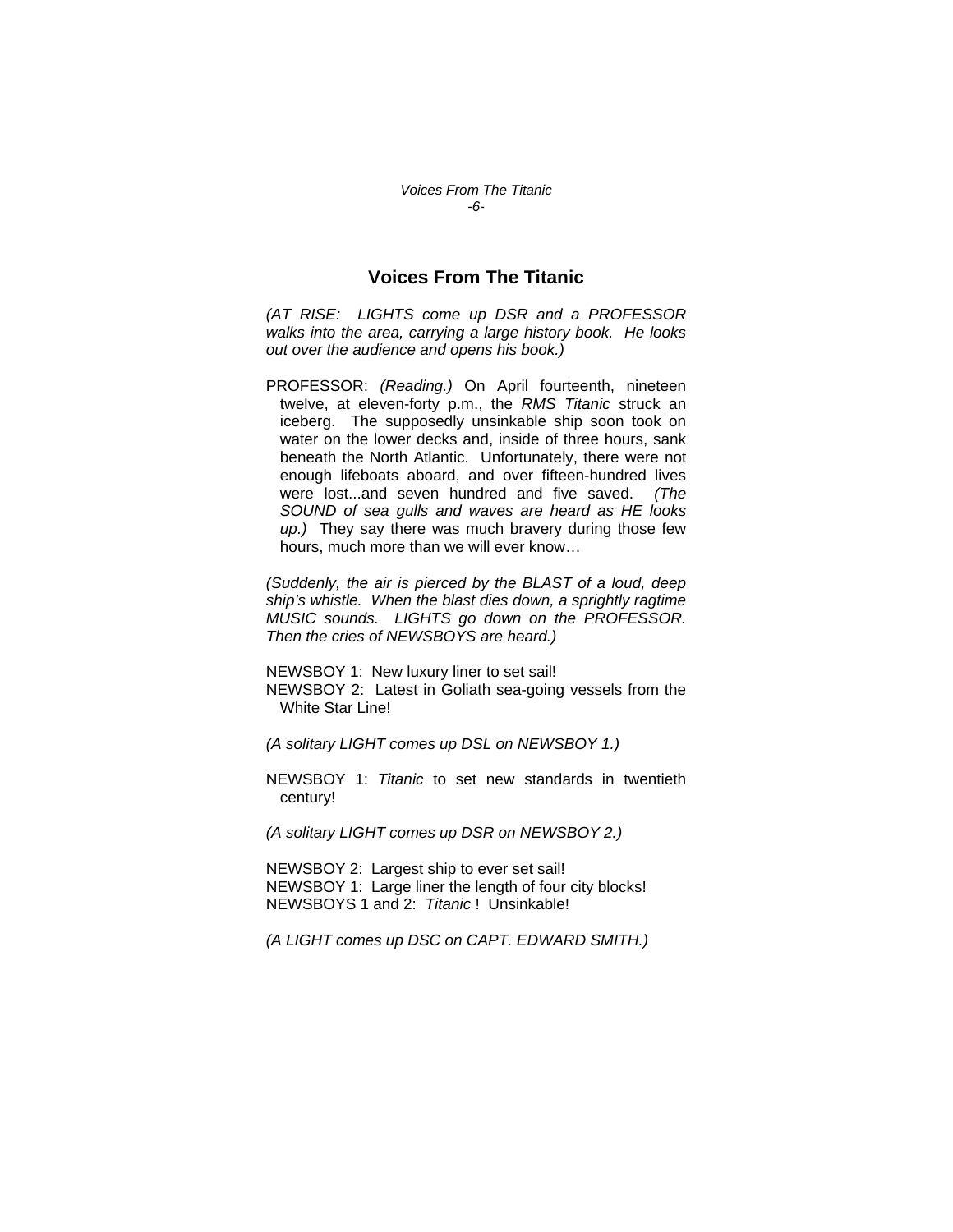## **Voices From The Titanic**

*(AT RISE: LIGHTS come up DSR and a PROFESSOR walks into the area, carrying a large history book. He looks out over the audience and opens his book.)* 

PROFESSOR: *(Reading.)* On April fourteenth, nineteen twelve, at eleven-forty p.m., the *RMS Titanic* struck an iceberg. The supposedly unsinkable ship soon took on water on the lower decks and, inside of three hours, sank beneath the North Atlantic. Unfortunately, there were not enough lifeboats aboard, and over fifteen-hundred lives were lost...and seven hundred and five saved. *(The SOUND of sea gulls and waves are heard as HE looks up.)* They say there was much bravery during those few hours, much more than we will ever know…

*(Suddenly, the air is pierced by the BLAST of a loud, deep ship's whistle. When the blast dies down, a sprightly ragtime MUSIC sounds. LIGHTS go down on the PROFESSOR. Then the cries of NEWSBOYS are heard.)* 

NEWSBOY 1: New luxury liner to set sail!

NEWSBOY 2: Latest in Goliath sea-going vessels from the White Star Line!

*(A solitary LIGHT comes up DSL on NEWSBOY 1.)* 

NEWSBOY 1: *Titanic* to set new standards in twentieth century!

*(A solitary LIGHT comes up DSR on NEWSBOY 2.)* 

NEWSBOY 2: Largest ship to ever set sail! NEWSBOY 1: Large liner the length of four city blocks! NEWSBOYS 1 and 2: *Titanic* ! Unsinkable!

*(A LIGHT comes up DSC on CAPT. EDWARD SMITH.)*